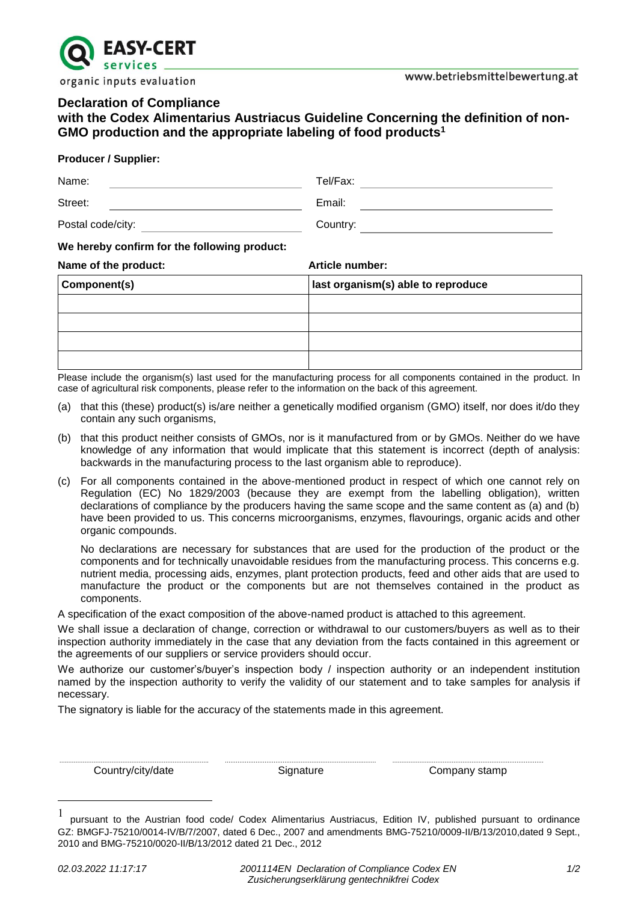

# **Declaration of Compliance**

**with the Codex Alimentarius Austriacus Guideline Concerning the definition of non-GMO production and the appropriate labeling of food products<sup>1</sup>**

### **Producer / Supplier:**

| Name:                                        | Tel/Fax:        |
|----------------------------------------------|-----------------|
| Street:                                      | Email:          |
| Postal code/city:                            | Country:        |
| We hereby confirm for the following product: |                 |
| Name of the product:                         | Article number: |

| Component(s) | last organism(s) able to reproduce |
|--------------|------------------------------------|
|              |                                    |
|              |                                    |
|              |                                    |
|              |                                    |

Please include the organism(s) last used for the manufacturing process for all components contained in the product. In case of agricultural risk components, please refer to the information on the back of this agreement.

- (a) that this (these) product(s) is/are neither a genetically modified organism (GMO) itself, nor does it/do they contain any such organisms,
- (b) that this product neither consists of GMOs, nor is it manufactured from or by GMOs. Neither do we have knowledge of any information that would implicate that this statement is incorrect (depth of analysis: backwards in the manufacturing process to the last organism able to reproduce).
- (c) For all components contained in the above-mentioned product in respect of which one cannot rely on Regulation (EC) No 1829/2003 (because they are exempt from the labelling obligation), written declarations of compliance by the producers having the same scope and the same content as (a) and (b) have been provided to us. This concerns microorganisms, enzymes, flavourings, organic acids and other organic compounds.

No declarations are necessary for substances that are used for the production of the product or the components and for technically unavoidable residues from the manufacturing process. This concerns e.g. nutrient media, processing aids, enzymes, plant protection products, feed and other aids that are used to manufacture the product or the components but are not themselves contained in the product as components.

A specification of the exact composition of the above-named product is attached to this agreement.

We shall issue a declaration of change, correction or withdrawal to our customers/buyers as well as to their inspection authority immediately in the case that any deviation from the facts contained in this agreement or the agreements of our suppliers or service providers should occur.

We authorize our customer's/buyer's inspection body / inspection authority or an independent institution named by the inspection authority to verify the validity of our statement and to take samples for analysis if necessary.

The signatory is liable for the accuracy of the statements made in this agreement.

................................................................................... .................................................................................... ....................................................................................

Country/city/date Signature Signature Company stamp

<u>.</u>

<sup>1</sup> pursuant to the Austrian food code/ Codex Alimentarius Austriacus, Edition IV, published pursuant to ordinance GZ: BMGFJ-75210/0014-IV/B/7/2007, dated 6 Dec., 2007 and amendments BMG-75210/0009-II/B/13/2010,dated 9 Sept., 2010 and BMG-75210/0020-II/B/13/2012 dated 21 Dec., 2012